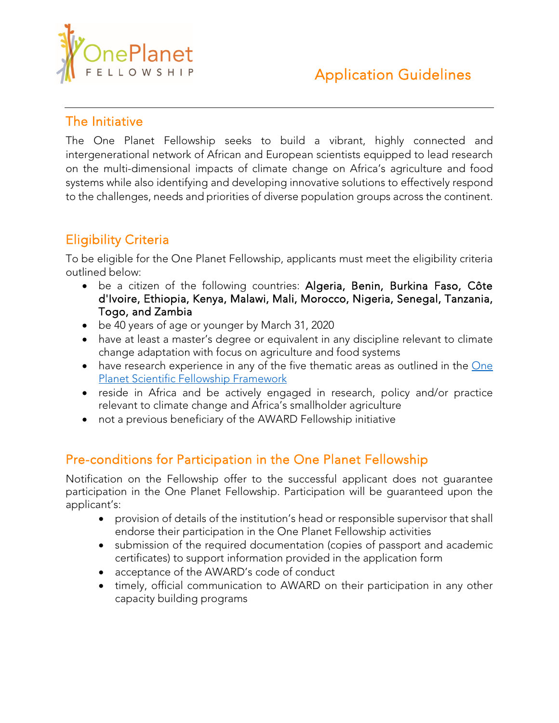

#### The Initiative

The One Planet Fellowship seeks to build a vibrant, highly connected and intergenerational network of African and European scientists equipped to lead research on the multi-dimensional impacts of climate change on Africa's agriculture and food systems while also identifying and developing innovative solutions to effectively respond to the challenges, needs and priorities of diverse population groups across the continent.

## Eligibility Criteria

To be eligible for the One Planet Fellowship, applicants must meet the eligibility criteria outlined below:

- be a citizen of the following countries: Algeria, Benin, Burkina Faso, Côte d'Ivoire, Ethiopia, Kenya, Malawi, Mali, Morocco, Nigeria, Senegal, Tanzania, Togo, and Zambia
- be 40 years of age or younger by March 31, 2020
- have at least a master's degree or equivalent in any discipline relevant to climate change adaptation with focus on agriculture and food systems
- have research experience in any of the five thematic areas as outlined in the One [Planet Scientific](https://awardfellowships.org/images/downloads/One_Planet_Summit_Fellowship_Scientific_Framework_2019.pdf) Fellowship Framework
- reside in Africa and be actively engaged in research, policy and/or practice relevant to climate change and Africa's smallholder agriculture
- not a previous beneficiary of the AWARD Fellowship initiative

## Pre-conditions for Participation in the One Planet Fellowship

Notification on the Fellowship offer to the successful applicant does not guarantee participation in the One Planet Fellowship. Participation will be guaranteed upon the applicant's:

- provision of details of the institution's head or responsible supervisor that shall endorse their participation in the One Planet Fellowship activities
- submission of the required documentation (copies of passport and academic certificates) to support information provided in the application form
- acceptance of the AWARD's code of conduct
- timely, official communication to AWARD on their participation in any other capacity building programs